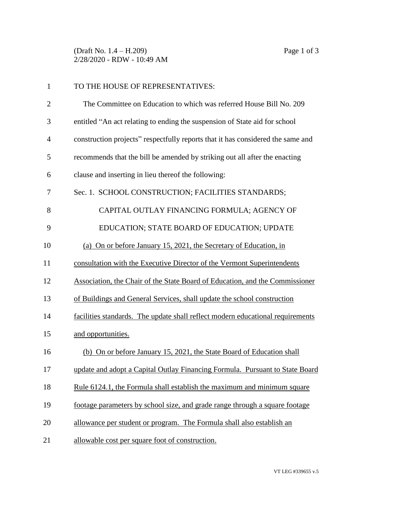(Draft No. 1.4 – H.209) Page 1 of 3 2/28/2020 - RDW - 10:49 AM

| $\mathbf{1}$   | TO THE HOUSE OF REPRESENTATIVES:                                                |
|----------------|---------------------------------------------------------------------------------|
| $\overline{2}$ | The Committee on Education to which was referred House Bill No. 209             |
| 3              | entitled "An act relating to ending the suspension of State aid for school      |
| 4              | construction projects" respectfully reports that it has considered the same and |
| 5              | recommends that the bill be amended by striking out all after the enacting      |
| 6              | clause and inserting in lieu thereof the following:                             |
| 7              | Sec. 1. SCHOOL CONSTRUCTION; FACILITIES STANDARDS;                              |
| 8              | CAPITAL OUTLAY FINANCING FORMULA; AGENCY OF                                     |
| 9              | EDUCATION; STATE BOARD OF EDUCATION; UPDATE                                     |
| 10             | (a) On or before January 15, 2021, the Secretary of Education, in               |
| 11             | consultation with the Executive Director of the Vermont Superintendents         |
| 12             | Association, the Chair of the State Board of Education, and the Commissioner    |
| 13             | of Buildings and General Services, shall update the school construction         |
| 14             | facilities standards. The update shall reflect modern educational requirements  |
| 15             | and opportunities.                                                              |
| 16             | (b) On or before January 15, 2021, the State Board of Education shall           |
| 17             | update and adopt a Capital Outlay Financing Formula. Pursuant to State Board    |
| 18             | Rule 6124.1, the Formula shall establish the maximum and minimum square         |
| 19             | footage parameters by school size, and grade range through a square footage     |
| 20             | allowance per student or program. The Formula shall also establish an           |
| 21             | allowable cost per square foot of construction.                                 |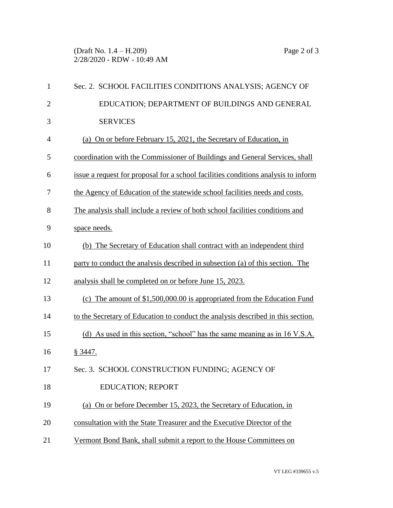(Draft No. 1.4 – H.209) Page 2 of 3 2/28/2020 - RDW - 10:49 AM

| $\mathbf{1}$   | Sec. 2. SCHOOL FACILITIES CONDITIONS ANALYSIS; AGENCY OF                           |
|----------------|------------------------------------------------------------------------------------|
| $\overline{2}$ | EDUCATION; DEPARTMENT OF BUILDINGS AND GENERAL                                     |
| 3              | <b>SERVICES</b>                                                                    |
| 4              | (a) On or before February 15, 2021, the Secretary of Education, in                 |
| 5              | coordination with the Commissioner of Buildings and General Services, shall        |
| 6              | issue a request for proposal for a school facilities conditions analysis to inform |
| 7              | the Agency of Education of the statewide school facilities needs and costs.        |
| 8              | The analysis shall include a review of both school facilities conditions and       |
| 9              | space needs.                                                                       |
| 10             | (b) The Secretary of Education shall contract with an independent third            |
| 11             | party to conduct the analysis described in subsection (a) of this section. The     |
| 12             | analysis shall be completed on or before June 15, 2023.                            |
| 13             | (c) The amount of $$1,500,000.00$ is appropriated from the Education Fund          |
| 14             | to the Secretary of Education to conduct the analysis described in this section.   |
| 15             | (d) As used in this section, "school" has the same meaning as in 16 V.S.A.         |
| 16             | § 3447.                                                                            |
| 17             | Sec. 3. SCHOOL CONSTRUCTION FUNDING; AGENCY OF                                     |
| 18             | <b>EDUCATION; REPORT</b>                                                           |
| 19             | (a) On or before December 15, 2023, the Secretary of Education, in                 |
| 20             | consultation with the State Treasurer and the Executive Director of the            |
| 21             | Vermont Bond Bank, shall submit a report to the House Committees on                |